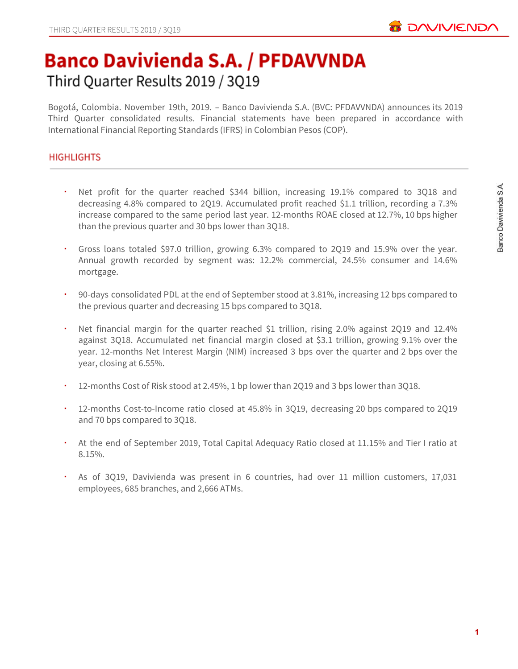

# **Banco Davivienda S.A. / PFDAVVNDA** Third Quarter Results 2019 / 3Q19

Bogotá, Colombia. November 19th, 2019. – Banco Davivienda S.A. (BVC: PFDAVVNDA) announces its 2019 Third Quarter consolidated results. Financial statements have been prepared in accordance with International Financial Reporting Standards (IFRS) in Colombian Pesos (COP).

# **HIGHLIGHTS**

- Net profit for the quarter reached \$344 billion, increasing 19.1% compared to 3Q18 and decreasing 4.8% compared to 2Q19. Accumulated profit reached \$1.1 trillion, recording a 7.3% increase compared to the same period last year. 12-months ROAE closed at 12.7%, 10 bps higher than the previous quarter and 30 bps lower than 3Q18.
- Gross loans totaled \$97.0 trillion, growing 6.3% compared to 2Q19 and 15.9% over the year. Annual growth recorded by segment was: 12.2% commercial, 24.5% consumer and 14.6% mortgage.
- 90-days consolidated PDL at the end of September stood at 3.81%, increasing 12 bps compared to the previous quarter and decreasing 15 bps compared to 3Q18.
- Net financial margin for the quarter reached \$1 trillion, rising 2.0% against 2Q19 and 12.4% against 3Q18. Accumulated net financial margin closed at \$3.1 trillion, growing 9.1% over the year. 12-months Net Interest Margin (NIM) increased 3 bps over the quarter and 2 bps over the year, closing at 6.55%.
- 12-months Cost of Risk stood at 2.45%, 1 bp lower than 2Q19 and 3 bps lower than 3Q18.
- 12-months Cost-to-Income ratio closed at 45.8% in 3Q19, decreasing 20 bps compared to 2Q19 and 70 bps compared to 3Q18.
- At the end of September 2019, Total Capital Adequacy Ratio closed at 11.15% and Tier I ratio at 8.15%.
- As of 3Q19, Davivienda was present in 6 countries, had over 11 million customers, 17,031 employees, 685 branches, and 2,666 ATMs.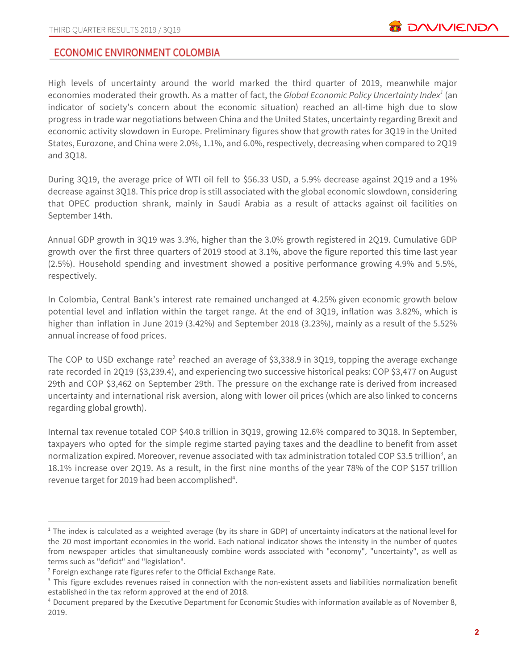# **ECONOMIC ENVIRONMENT COLOMBIA**

High levels of uncertainty around the world marked the third quarter of 2019, meanwhile major economies moderated their growth. As a matter of fact, the *Global Economic Policy Uncertainty Index* (an *1* indicator of society's concern about the economic situation) reached an all-time high due to slow progress in trade war negotiations between China and the United States, uncertainty regarding Brexit and economic activity slowdown in Europe. Preliminary figures show that growth rates for 3Q19 in the United States, Eurozone, and China were 2.0%, 1.1%, and 6.0%, respectively, decreasing when compared to 2Q19 and 3Q18.

During 3Q19, the average price of WTI oil fell to \$56.33 USD, a 5.9% decrease against 2Q19 and a 19% decrease against 3Q18. This price drop is still associated with the global economic slowdown, considering that OPEC production shrank, mainly in Saudi Arabia as a result of attacks against oil facilities on September 14th.

Annual GDP growth in 3Q19 was 3.3%, higher than the 3.0% growth registered in 2Q19. Cumulative GDP growth over the first three quarters of 2019 stood at 3.1%, above the figure reported this time last year (2.5%). Household spending and investment showed a positive performance growing 4.9% and 5.5%, respectively.

In Colombia, Central Bank's interest rate remained unchanged at 4.25% given economic growth below potential level and inflation within the target range. At the end of 3Q19, inflation was 3.82%, which is higher than inflation in June 2019 (3.42%) and September 2018 (3.23%), mainly as a result of the 5.52% annual increase of food prices.

The COP to USD exchange rate<sup>2</sup> reached an average of \$3,338.9 in 3Q19, topping the average exchange rate recorded in 2Q19 (\$3,239.4), and experiencing two successive historical peaks: COP \$3,477 on August 29th and COP \$3,462 on September 29th. The pressure on the exchange rate is derived from increased uncertainty and international risk aversion, along with lower oil prices (which are also linked to concerns regarding global growth).

Internal tax revenue totaled COP \$40.8 trillion in 3Q19, growing 12.6% compared to 3Q18. In September, taxpayers who opted for the simple regime started paying taxes and the deadline to benefit from asset normalization expired. Moreover, revenue associated with tax administration totaled COP \$3.5 trillion<sup>3</sup>, an 18.1% increase over 2Q19. As a result, in the first nine months of the year 78% of the COP \$157 trillion revenue target for 2019 had been accomplished<sup>4</sup>.

 $1$  The index is calculated as a weighted average (by its share in GDP) of uncertainty indicators at the national level for the 20 most important economies in the world. Each national indicator shows the intensity in the number of quotes from newspaper articles that simultaneously combine words associated with "economy", "uncertainty", as well as terms such as "deficit" and "legislation".

<sup>&</sup>lt;sup>2</sup> Foreign exchange rate figures refer to the Official Exchange Rate.

<sup>&</sup>lt;sup>3</sup> This figure excludes revenues raised in connection with the non-existent assets and liabilities normalization benefit established in the tax reform approved at the end of 2018.

<sup>4</sup> Document prepared by the Executive Department for Economic Studies with information available as of November 8, 2019.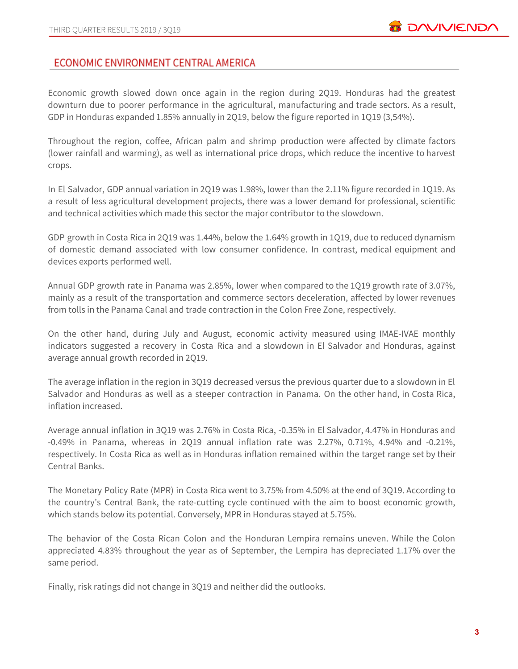# ECONOMIC ENVIRONMENT CENTRAL AMERICA

Economic growth slowed down once again in the region during 2Q19. Honduras had the greatest downturn due to poorer performance in the agricultural, manufacturing and trade sectors. As a result, GDP in Honduras expanded 1.85% annually in 2Q19, below the figure reported in 1Q19 (3,54%).

Throughout the region, coffee, African palm and shrimp production were affected by climate factors (lower rainfall and warming), as well as international price drops, which reduce the incentive to harvest crops.

In El Salvador, GDP annual variation in 2Q19 was 1.98%, lower than the 2.11% figure recorded in 1Q19. As a result of less agricultural development projects, there was a lower demand for professional, scientific and technical activities which made this sector the major contributor to the slowdown.

GDP growth in Costa Rica in 2Q19 was 1.44%, below the 1.64% growth in 1Q19, due to reduced dynamism of domestic demand associated with low consumer confidence. In contrast, medical equipment and devices exports performed well.

Annual GDP growth rate in Panama was 2.85%, lower when compared to the 1Q19 growth rate of 3.07%, mainly as a result of the transportation and commerce sectors deceleration, affected by lower revenues from tolls in the Panama Canal and trade contraction in the Colon Free Zone, respectively.

On the other hand, during July and August, economic activity measured using IMAE-IVAE monthly indicators suggested a recovery in Costa Rica and a slowdown in El Salvador and Honduras, against average annual growth recorded in 2Q19.

The average inflation in the region in 3Q19 decreased versus the previous quarter due to a slowdown in El Salvador and Honduras as well as a steeper contraction in Panama. On the other hand, in Costa Rica, inflation increased.

Average annual inflation in 3Q19 was 2.76% in Costa Rica, -0.35% in El Salvador, 4.47% in Honduras and -0.49% in Panama, whereas in 2Q19 annual inflation rate was 2.27%, 0.71%, 4.94% and -0.21%, respectively. In Costa Rica as well as in Honduras inflation remained within the target range set by their Central Banks.

The Monetary Policy Rate (MPR) in Costa Rica went to 3.75% from 4.50% at the end of 3Q19. According to the country's Central Bank, the rate-cutting cycle continued with the aim to boost economic growth, which stands below its potential. Conversely, MPR in Honduras stayed at 5.75%.

The behavior of the Costa Rican Colon and the Honduran Lempira remains uneven. While the Colon appreciated 4.83% throughout the year as of September, the Lempira has depreciated 1.17% over the same period.

Finally, risk ratings did not change in 3Q19 and neither did the outlooks.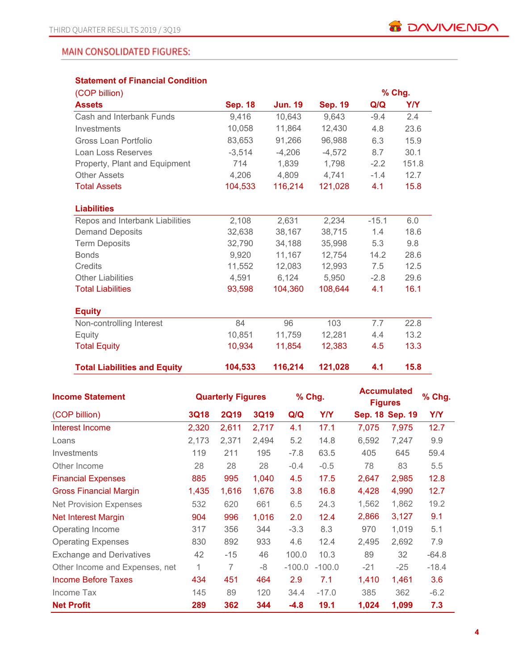# **MAIN CONSOLIDATED FIGURES:**

# **Statement of Financial Condition**

| (COP billion)                       |                |                |                |         | % Chg.     |
|-------------------------------------|----------------|----------------|----------------|---------|------------|
| <b>Assets</b>                       | <b>Sep. 18</b> | <b>Jun. 19</b> | <b>Sep. 19</b> | Q/Q     | <b>Y/Y</b> |
| Cash and Interbank Funds            | 9,416          | 10,643         | 9,643          | $-9.4$  | 2.4        |
| Investments                         | 10,058         | 11,864         | 12,430         | 4.8     | 23.6       |
| Gross Loan Portfolio                | 83,653         | 91,266         | 96,988         | 6.3     | 15.9       |
| Loan Loss Reserves                  | $-3,514$       | $-4,206$       | $-4,572$       | 8.7     | 30.1       |
| Property, Plant and Equipment       | 714            | 1,839          | 1,798          | $-2.2$  | 151.8      |
| <b>Other Assets</b>                 | 4,206          | 4,809          | 4,741          | $-1.4$  | 12.7       |
| <b>Total Assets</b>                 | 104,533        | 116,214        | 121,028        | 4.1     | 15.8       |
|                                     |                |                |                |         |            |
| <b>Liabilities</b>                  |                |                |                |         |            |
| Repos and Interbank Liabilities     | 2,108          | 2,631          | 2,234          | $-15.1$ | 6.0        |
| <b>Demand Deposits</b>              | 32,638         | 38,167         | 38,715         | 1.4     | 18.6       |
| <b>Term Deposits</b>                | 32,790         | 34,188         | 35,998         | 5.3     | 9.8        |
| <b>Bonds</b>                        | 9,920          | 11,167         | 12,754         | 14.2    | 28.6       |
| Credits                             | 11,552         | 12,083         | 12,993         | 7.5     | 12.5       |
| <b>Other Liabilities</b>            | 4,591          | 6,124          | 5,950          | $-2.8$  | 29.6       |
| <b>Total Liabilities</b>            | 93,598         | 104,360        | 108,644        | 4.1     | 16.1       |
| <b>Equity</b>                       |                |                |                |         |            |
| Non-controlling Interest            | 84             | 96             | 103            | 7.7     | 22.8       |
| Equity                              | 10,851         | 11,759         | 12,281         | 4.4     | 13.2       |
| <b>Total Equity</b>                 | 10,934         | 11,854         | 12,383         | 4.5     | 13.3       |
| <b>Total Liabilities and Equity</b> | 104,533        | 116,214        | 121,028        | 4.1     | 15.8       |

| <b>Income Statement</b>         | <b>Quarterly Figures</b> |             |             | % Chg.   |            | <b>Accumulated</b><br><b>Figures</b> | % Chg.          |         |
|---------------------------------|--------------------------|-------------|-------------|----------|------------|--------------------------------------|-----------------|---------|
| (COP billion)                   | <b>3Q18</b>              | <b>2Q19</b> | <b>3Q19</b> | Q/Q      | <b>Y/Y</b> |                                      | Sep. 18 Sep. 19 | Y/Y     |
| Interest Income                 | 2,320                    | 2,611       | 2,717       | 4.1      | 17.1       | 7,075                                | 7,975           | 12.7    |
| Loans                           | 2,173                    | 2,371       | 2,494       | 5.2      | 14.8       | 6,592                                | 7,247           | 9.9     |
| <b>Investments</b>              | 119                      | 211         | 195         | $-7.8$   | 63.5       | 405                                  | 645             | 59.4    |
| Other Income                    | 28                       | 28          | 28          | $-0.4$   | $-0.5$     | 78                                   | 83              | 5.5     |
| <b>Financial Expenses</b>       | 885                      | 995         | 1,040       | 4.5      | 17.5       | 2,647                                | 2,985           | 12.8    |
| <b>Gross Financial Margin</b>   | 1,435                    | 1,616       | 1,676       | 3.8      | 16.8       | 4,428                                | 4,990           | 12.7    |
| <b>Net Provision Expenses</b>   | 532                      | 620         | 661         | 6.5      | 24.3       | 1,562                                | 1,862           | 19.2    |
| <b>Net Interest Margin</b>      | 904                      | 996         | 1,016       | 2.0      | 12.4       | 2,866                                | 3,127           | 9.1     |
| Operating Income                | 317                      | 356         | 344         | $-3.3$   | 8.3        | 970                                  | 1,019           | 5.1     |
| <b>Operating Expenses</b>       | 830                      | 892         | 933         | 4.6      | 12.4       | 2,495                                | 2,692           | 7.9     |
| <b>Exchange and Derivatives</b> | 42                       | $-15$       | 46          | 100.0    | 10.3       | 89                                   | 32              | $-64.8$ |
| Other Income and Expenses, net  | 1                        | 7           | -8          | $-100.0$ | $-100.0$   | $-21$                                | $-25$           | $-18.4$ |
| Income Before Taxes             | 434                      | 451         | 464         | 2.9      | 7.1        | 1,410                                | 1,461           | 3.6     |
| Income Tax                      | 145                      | 89          | 120         | 34.4     | $-17.0$    | 385                                  | 362             | $-6.2$  |
| <b>Net Profit</b>               | 289                      | 362         | 344         | $-4.8$   | 19.1       | 1,024                                | 1,099           | 7.3     |

**B** DAVIVIENDA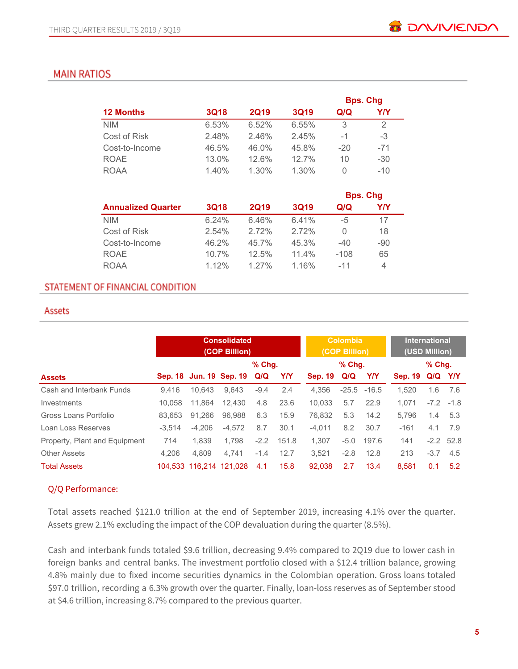# **MAIN RATIOS**

|                  |             |             |             |        | <b>Bps. Chg</b> |
|------------------|-------------|-------------|-------------|--------|-----------------|
| <b>12 Months</b> | <b>3Q18</b> | <b>2Q19</b> | <b>3Q19</b> | Q/Q    | Y/Y             |
| <b>NIM</b>       | 6.53%       | 6.52%       | 6.55%       | 3      | 2               |
| Cost of Risk     | 2.48%       | 2.46%       | 2.45%       | -1     | -3              |
| Cost-to-Income   | 46.5%       | 46.0%       | 45.8%       | $-20$  | $-71$           |
| <b>ROAE</b>      | $13.0\%$    | 12.6%       | 12.7%       | 10     | $-30$           |
| <b>ROAA</b>      | 1.40%       | $1.30\%$    | 1.30%       | $\cup$ | $-10$           |

|                           |             |             |             |        | <b>Bps. Chg</b> |
|---------------------------|-------------|-------------|-------------|--------|-----------------|
| <b>Annualized Quarter</b> | <b>3Q18</b> | <b>2Q19</b> | <b>3Q19</b> | Q/Q    | Y/Y             |
| <b>NIM</b>                | 6.24%       | 6.46%       | 6.41%       | -5     | 17              |
| Cost of Risk              | 2.54%       | 2.72%       | 2.72%       | O      | 18              |
| Cost-to-Income            | 46.2%       | 45.7%       | 45.3%       | $-40$  | $-90$           |
| <b>ROAE</b>               | $10.7\%$    | 12.5%       | $11.4\%$    | $-108$ | 65              |
| <b>ROAA</b>               | 112%        | $1.27\%$    | 1.16%       | $-11$  | 4               |

### STATEMENT OF FINANCIAL CONDITION

#### Assets

|                               |          | <b>Consolidated</b><br>(COP Billion) |                             |          |            | <b>Colombia</b><br>(COP Billion) |        |                | <b>International</b><br>(USD Million) |         |              |
|-------------------------------|----------|--------------------------------------|-----------------------------|----------|------------|----------------------------------|--------|----------------|---------------------------------------|---------|--------------|
|                               |          |                                      |                             | $%$ Chq. |            | $%$ Chg.                         |        |                | $%$ Chq.                              |         |              |
| <b>Assets</b>                 |          |                                      | Sep. 18 Jun. 19 Sep. 19 Q/Q |          | <b>Y/Y</b> | <b>Sep. 19</b>                   | Q/Q    | YN             | <b>Sep. 19</b>                        | Q/Q Y/Y |              |
| Cash and Interbank Funds      | 9.416    | 10.643                               | 9.643                       | $-9.4$   | 2.4        | 4.356                            |        | $-25.5 - 16.5$ | 1.520                                 | 1.6     | 7.6          |
| Investments                   | 10.058   | 11.864                               | 12.430                      | 4.8      | 23.6       | 10.033                           | 5.7    | 22.9           | 1.071                                 |         | $-7.2 - 1.8$ |
| Gross Loans Portfolio         | 83.653   | 91.266                               | 96.988                      | 6.3      | 15.9       | 76.832                           | 5.3    | 14.2           | 5.796                                 | 1.4     | 5.3          |
| Loan Loss Reserves            | $-3.514$ | $-4.206$                             | $-4,572$                    | 8.7      | 30.1       | $-4.011$                         | 8.2    | 30.7           | $-161$                                | 4.1     | 7.9          |
| Property, Plant and Equipment | 714      | 1.839                                | 1.798                       | $-2.2$   | 151.8      | 1.307                            | $-5.0$ | 197.6          | 141                                   |         | $-2.2$ 52.8  |
| <b>Other Assets</b>           | 4.206    | 4.809                                | 4.741                       | $-1.4$   | 12.7       | 3.521                            | $-2.8$ | 12.8           | 213                                   | $-3.7$  | 4.5          |
| <b>Total Assets</b>           |          | 104,533 116,214 121,028              |                             | 4.1      | 15.8       | 92.038                           | 2.7    | 13.4           | 8.581                                 | 0.1     | 5.2          |

# Q/Q Performance:

Total assets reached \$121.0 trillion at the end of September 2019, increasing 4.1% over the quarter. Assets grew 2.1% excluding the impact of the COP devaluation during the quarter (8.5%).

Cash and interbank funds totaled \$9.6 trillion, decreasing 9.4% compared to 2Q19 due to lower cash in foreign banks and central banks. The investment portfolio closed with a \$12.4 trillion balance, growing 4.8% mainly due to fixed income securities dynamics in the Colombian operation. Gross loans totaled \$97.0 trillion, recording a 6.3% growth over the quarter. Finally, loan-loss reserves as of September stood at \$4.6 trillion, increasing 8.7% compared to the previous quarter.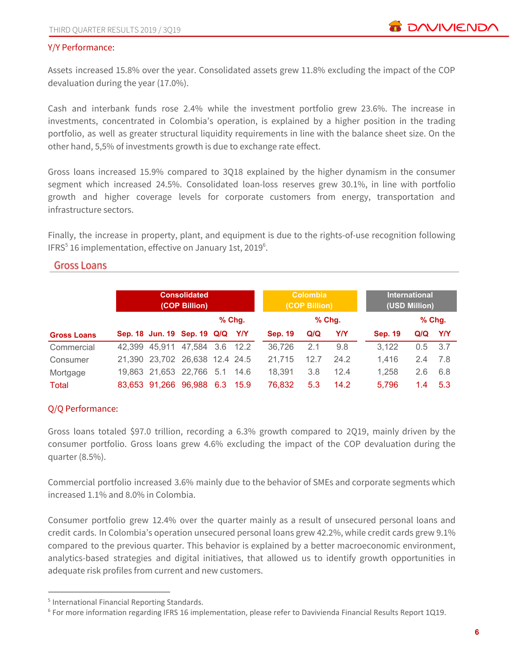### Y/Y Performance:

Assets increased 15.8% over the year. Consolidated assets grew 11.8% excluding the impact of the COP devaluation during the year (17.0%).

Cash and interbank funds rose 2.4% while the investment portfolio grew 23.6%. The increase in investments, concentrated in Colombia's operation, is explained by a higher position in the trading portfolio, as well as greater structural liquidity requirements in line with the balance sheet size. On the other hand, 5,5% of investments growth is due to exchange rate effect.

Gross loans increased 15.9% compared to 3Q18 explained by the higher dynamism in the consumer segment which increased 24.5%. Consolidated loan-loss reserves grew 30.1%, in line with portfolio growth and higher coverage levels for corporate customers from energy, transportation and infrastructure sectors.

Finally, the increase in property, plant, and equipment is due to the rights-of-use recognition following IFRS $<sup>5</sup>$  16 implementation, effective on January 1st, 2019 $<sup>6</sup>$ .</sup></sup>

### **Gross Loans**

|                    | <b>Consolidated</b><br>(COP Billion) |                                |     |                      |                | <b>Colombia</b><br>(COP Billion) |      |                | International<br>(USD Million) |            |  |
|--------------------|--------------------------------------|--------------------------------|-----|----------------------|----------------|----------------------------------|------|----------------|--------------------------------|------------|--|
|                    |                                      |                                |     | $%$ Chg.<br>$%$ Chg. |                |                                  |      |                | $%$ Chg.                       |            |  |
| <b>Gross Loans</b> |                                      | Sep. 18 Jun. 19 Sep. 19 Q/Q    |     | <b>Y/Y</b>           | <b>Sep. 19</b> | Q/Q                              | Y/Y  | <b>Sep. 19</b> | Q/Q                            | <b>Y/Y</b> |  |
| Commercial         | 42.399 45.911                        | 47,584 3.6                     |     | - 12.2               | 36,726         | 2.1                              | 9.8  | 3.122          | 0.5                            | 3.7        |  |
| Consumer           |                                      | 21,390 23,702 26,638 12.4 24.5 |     |                      | 21.715         | 12.7                             | 24.2 | 1.416          | 2.4                            | -7.8       |  |
| Mortgage           |                                      | 19.863 21.653 22.766 5.1       |     | -14.6                | 18.391         | 3.8                              | 12.4 | 1.258          | 2.6                            | 6.8        |  |
| Total              | 83,653 91,266                        | 96,988                         | 6.3 | 15.9                 | 76.832         | 5.3                              | 14.2 | 5.796          | 1.4                            | 5.3        |  |

# Q/Q Performance:

Gross loans totaled \$97.0 trillion, recording a 6.3% growth compared to 2Q19, mainly driven by the consumer portfolio. Gross loans grew 4.6% excluding the impact of the COP devaluation during the quarter (8.5%).

Commercial portfolio increased 3.6% mainly due to the behavior of SMEs and corporate segments which increased 1.1% and 8.0% in Colombia.

Consumer portfolio grew 12.4% over the quarter mainly as a result of unsecured personal loans and credit cards. In Colombia's operation unsecured personal loans grew 42.2%, while credit cards grew 9.1% compared to the previous quarter. This behavior is explained by a better macroeconomic environment, analytics-based strategies and digital initiatives, that allowed us to identify growth opportunities in adequate risk profiles from current and new customers.

<sup>5</sup> International Financial Reporting Standards.

<sup>6</sup> For more information regarding IFRS 16 implementation, please refer to Davivienda Financial Results Report 1Q19.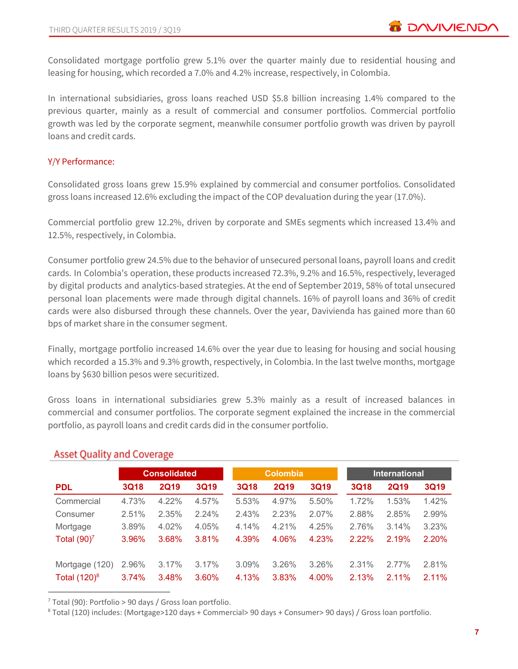Consolidated mortgage portfolio grew 5.1% over the quarter mainly due to residential housing and leasing for housing, which recorded a 7.0% and 4.2% increase, respectively, in Colombia.

In international subsidiaries, gross loans reached USD \$5.8 billion increasing 1.4% compared to the previous quarter, mainly as a result of commercial and consumer portfolios. Commercial portfolio growth was led by the corporate segment, meanwhile consumer portfolio growth was driven by payroll loans and credit cards.

# Y/Y Performance:

Consolidated gross loans grew 15.9% explained by commercial and consumer portfolios. Consolidated gross loans increased 12.6% excluding the impact of the COP devaluation during the year (17.0%).

Commercial portfolio grew 12.2%, driven by corporate and SMEs segments which increased 13.4% and 12.5%, respectively, in Colombia.

Consumer portfolio grew 24.5% due to the behavior of unsecured personal loans, payroll loans and credit cards. In Colombia's operation, these products increased 72.3%, 9.2% and 16.5%, respectively, leveraged by digital products and analytics-based strategies. At the end of September 2019, 58% of total unsecured personal loan placements were made through digital channels. 16% of payroll loans and 36% of credit cards were also disbursed through these channels. Over the year, Davivienda has gained more than 60 bps of market share in the consumer segment.

Finally, mortgage portfolio increased 14.6% over the year due to leasing for housing and social housing which recorded a 15.3% and 9.3% growth, respectively, in Colombia. In the last twelve months, mortgage loans by \$630 billion pesos were securitized.

Gross loans in international subsidiaries grew 5.3% mainly as a result of increased balances in commercial and consumer portfolios. The corporate segment explained the increase in the commercial portfolio, as payroll loans and credit cards did in the consumer portfolio.

|                 |             | <b>Consolidated</b> |             |             | <b>Colombia</b> |             | <b>International</b> |             |             |  |
|-----------------|-------------|---------------------|-------------|-------------|-----------------|-------------|----------------------|-------------|-------------|--|
| <b>PDL</b>      | <b>3Q18</b> | <b>2Q19</b>         | <b>3Q19</b> | <b>3Q18</b> | <b>2Q19</b>     | <b>3Q19</b> | <b>3Q18</b>          | <b>2Q19</b> | <b>3Q19</b> |  |
| Commercial      | 4.73%       | 4.22%               | 4.57%       | 5.53%       | 4.97%           | 5.50%       | 1.72%                | 1.53%       | 1.42%       |  |
| Consumer        | 2.51%       | 2.35%               | 2.24%       | 2.43%       | 2.23%           | 2.07%       | 2.88%                | 2.85%       | 2.99%       |  |
| Mortgage        | 3.89%       | 4.02%               | 4.05%       | 4.14%       | 4.21%           | 4.25%       | 2.76%                | 3.14%       | 3.23%       |  |
| Total $(90)^7$  | 3.96%       | 3.68%               | 3.81%       | 4.39%       | 4.06%           | 4.23%       | 2.22%                | 2.19%       | 2.20%       |  |
| Mortgage (120)  | 2.96%       | 3.17%               | 3.17%       | 3.09%       | 3.26%           | 3.26%       | 2.31%                | $2.77\%$    | 2.81%       |  |
| Total $(120)^8$ | 3.74%       | 3.48%               | 3.60%       | 4.13%       | 3.83%           | 4.00%       | 2.13%                | $2.11\%$    | $2.11\%$    |  |

# **Asset Quality and Coverage**

<sup>7</sup> Total (90): Portfolio > 90 days / Gross loan portfolio.

<sup>8</sup> Total (120) includes: (Mortgage>120 days + Commercial> 90 days + Consumer> 90 days) / Gross loan portfolio.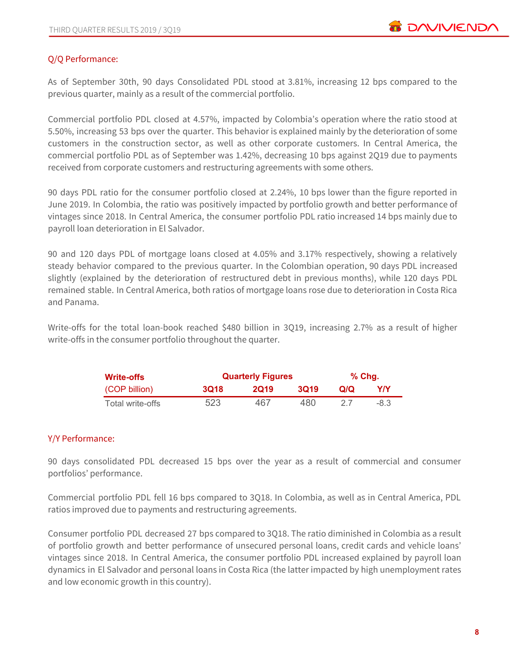# Q/Q Performance:

As of September 30th, 90 days Consolidated PDL stood at 3.81%, increasing 12 bps compared to the previous quarter, mainly as a result of the commercial portfolio.

Commercial portfolio PDL closed at 4.57%, impacted by Colombia's operation where the ratio stood at 5.50%, increasing 53 bps over the quarter. This behavior is explained mainly by the deterioration of some customers in the construction sector, as well as other corporate customers. In Central America, the commercial portfolio PDL as of September was 1.42%, decreasing 10 bps against 2Q19 due to payments received from corporate customers and restructuring agreements with some others.

90 days PDL ratio for the consumer portfolio closed at 2.24%, 10 bps lower than the figure reported in June 2019. In Colombia, the ratio was positively impacted by portfolio growth and better performance of vintages since 2018. In Central America, the consumer portfolio PDL ratio increased 14 bps mainly due to payroll loan deterioration in El Salvador.

90 and 120 days PDL of mortgage loans closed at 4.05% and 3.17% respectively, showing a relatively steady behavior compared to the previous quarter. In the Colombian operation, 90 days PDL increased slightly (explained by the deterioration of restructured debt in previous months), while 120 days PDL remained stable. In Central America, both ratios of mortgage loans rose due to deterioration in Costa Rica and Panama.

Write-offs for the total loan-book reached \$480 billion in 3Q19, increasing 2.7% as a result of higher write-offs in the consumer portfolio throughout the quarter.

| <b>Write-offs</b> |                                    | <b>Quarterly Figures</b> | $%$ Chg. |     |        |
|-------------------|------------------------------------|--------------------------|----------|-----|--------|
| (COP billion)     | 3019<br><b>3Q18</b><br><b>2019</b> |                          |          |     | Y/Y    |
| Total write-offs  | 523                                | 467                      | 480      | -27 | $-8.3$ |

# Y/Y Performance:

90 days consolidated PDL decreased 15 bps over the year as a result of commercial and consumer portfolios' performance.

Commercial portfolio PDL fell 16 bps compared to 3Q18. In Colombia, as well as in Central America, PDL ratios improved due to payments and restructuring agreements.

Consumer portfolio PDL decreased 27 bps compared to 3Q18. The ratio diminished in Colombia as a result of portfolio growth and better performance of unsecured personal loans, credit cards and vehicle loans' vintages since 2018. In Central America, the consumer portfolio PDL increased explained by payroll loan dynamics in El Salvador and personal loans in Costa Rica (the latter impacted by high unemployment rates and low economic growth in this country).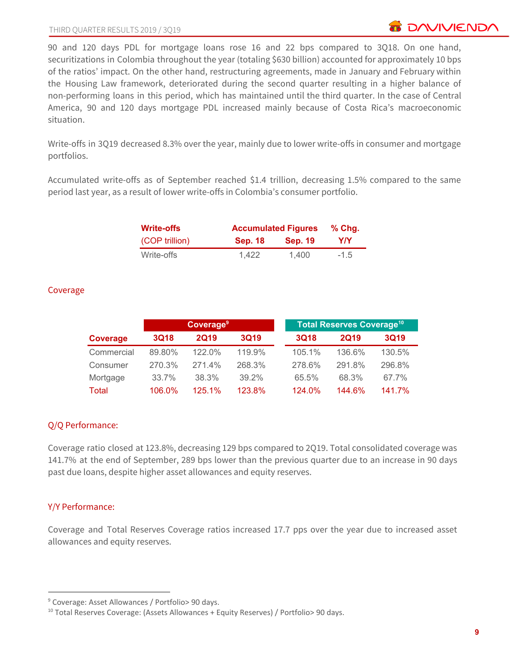90 and 120 days PDL for mortgage loans rose 16 and 22 bps compared to 3Q18. On one hand, securitizations in Colombia throughout the year (totaling \$630 billion) accounted for approximately 10 bps of the ratios' impact. On the other hand, restructuring agreements, made in January and February within the Housing Law framework, deteriorated during the second quarter resulting in a higher balance of non-performing loans in this period, which has maintained until the third quarter. In the case of Central America, 90 and 120 days mortgage PDL increased mainly because of Costa Rica's macroeconomic situation.

Write-offs in 3Q19 decreased 8.3% over the year, mainly due to lower write-offs in consumer and mortgage portfolios.

Accumulated write-offs as of September reached \$1.4 trillion, decreasing 1.5% compared to the same period last year, as a result of lower write-offs in Colombia's consumer portfolio.

| <b>Write-offs</b> | <b>Accumulated Figures</b> |                |        |  |  |  |
|-------------------|----------------------------|----------------|--------|--|--|--|
| (COP trillion)    | <b>Sep. 18</b>             | <b>Sep. 19</b> | Y/Y    |  |  |  |
| Write-offs        | 1.422                      | 1.400          | $-1.5$ |  |  |  |

# Coverage

|            | Coverage <sup>9</sup> |             |             |  |             | <b>Total Reserves Coverage<sup>10</sup></b> |             |  |
|------------|-----------------------|-------------|-------------|--|-------------|---------------------------------------------|-------------|--|
| Coverage   | <b>3Q18</b>           | <b>2Q19</b> | <b>3Q19</b> |  | <b>3Q18</b> | <b>2Q19</b>                                 | <b>3Q19</b> |  |
| Commercial | 89.80%                | $122.0\%$   | 119.9%      |  | 105.1%      | 136.6%                                      | 130.5%      |  |
| Consumer   | 270.3%                | 271.4%      | 268.3%      |  | 278.6%      | 291.8%                                      | 296.8%      |  |
| Mortgage   | 33.7%                 | 38.3%       | 39.2%       |  | 65.5%       | 68.3%                                       | 67.7%       |  |
| Total      | 106.0%                | 125.1%      | 123.8%      |  | 124.0%      | 144.6%                                      | 141.7%      |  |

# Q/Q Performance:

Coverage ratio closed at 123.8%, decreasing 129 bps compared to 2Q19. Total consolidated coverage was 141.7% at the end of September, 289 bps lower than the previous quarter due to an increase in 90 days past due loans, despite higher asset allowances and equity reserves.

# Y/Y Performance:

Coverage and Total Reserves Coverage ratios increased 17.7 pps over the year due to increased asset allowances and equity reserves.

<sup>9</sup> Coverage: Asset Allowances / Portfolio> 90 days.

 $10$  Total Reserves Coverage: (Assets Allowances + Equity Reserves) / Portfolio> 90 days.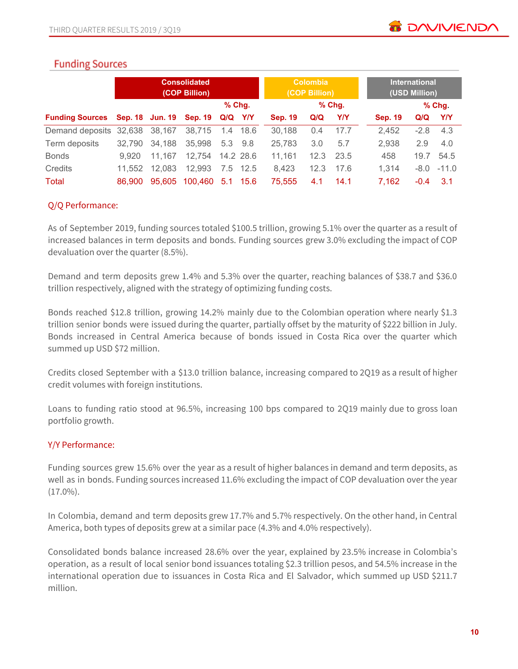# **Funding Sources**

|                        | <b>Consolidated</b><br>(COP Billion) |        |                         |           |          | <b>Colombia</b><br>(COP Billion) |      |          | <b>International</b><br>(USD Million) |                |        |              |
|------------------------|--------------------------------------|--------|-------------------------|-----------|----------|----------------------------------|------|----------|---------------------------------------|----------------|--------|--------------|
|                        |                                      |        |                         | $%$ Chg.  |          |                                  |      | $%$ Chg. |                                       |                |        | $%$ Chg      |
| <b>Funding Sources</b> |                                      |        | Sep. 18 Jun. 19 Sep. 19 | Q/Q Y/Y   |          | <b>Sep. 19</b>                   | Q/Q  | Y/Y      |                                       | <b>Sep. 19</b> | Q/Q    | YN           |
| Demand deposits        | 32,638 38,167                        |        | 38.715                  |           | 1.4 18.6 | 30,188                           | 0.4  | 17.7     |                                       | 2,452          | $-2.8$ | 4.3          |
| Term deposits          | 32.790                               | 34,188 | 35,998                  | 5.3 9.8   |          | 25,783                           | 3.0  | 5.7      |                                       | 2,938          | 2.9    | 4.0          |
| <b>Bonds</b>           | 9.920                                | 11.167 | 12,754                  | 14.2 28.6 |          | 11.161                           | 12.3 | 23.5     |                                       | 458            | 19.7   | 54.5         |
| Credits                | 11.552                               | 12,083 | 12,993                  | 7.5       | - 12.5   | 8,423                            | 12.3 | 17.6     |                                       | 1.314          |        | $-8.0 -11.0$ |
| Total                  | 86,900                               | 95,605 | 100,460                 |           | 5.1 15.6 | 75.555                           | 4.1  | 14.1     |                                       | 7,162          | $-0.4$ | 3.1          |

# Q/Q Performance:

As of September 2019, funding sources totaled \$100.5 trillion, growing 5.1% over the quarter as a result of increased balances in term deposits and bonds. Funding sources grew 3.0% excluding the impact of COP devaluation over the quarter (8.5%).

Demand and term deposits grew 1.4% and 5.3% over the quarter, reaching balances of \$38.7 and \$36.0 trillion respectively, aligned with the strategy of optimizing funding costs.

Bonds reached \$12.8 trillion, growing 14.2% mainly due to the Colombian operation where nearly \$1.3 trillion senior bonds were issued during the quarter, partially offset by the maturity of \$222 billion in July. Bonds increased in Central America because of bonds issued in Costa Rica over the quarter which summed up USD \$72 million.

Credits closed September with a \$13.0 trillion balance, increasing compared to 2Q19 as a result of higher credit volumes with foreign institutions.

Loans to funding ratio stood at 96.5%, increasing 100 bps compared to 2Q19 mainly due to gross loan portfolio growth.

# Y/Y Performance:

Funding sources grew 15.6% over the year as a result of higher balances in demand and term deposits, as well as in bonds. Funding sources increased 11.6% excluding the impact of COP devaluation over the year  $(17.0\%)$ .

In Colombia, demand and term deposits grew 17.7% and 5.7% respectively. On the other hand, in Central America, both types of deposits grew at a similar pace (4.3% and 4.0% respectively).

Consolidated bonds balance increased 28.6% over the year, explained by 23.5% increase in Colombia's operation, as a result of local senior bond issuances totaling \$2.3 trillion pesos, and 54.5% increase in the international operation due to issuances in Costa Rica and El Salvador, which summed up USD \$211.7 million.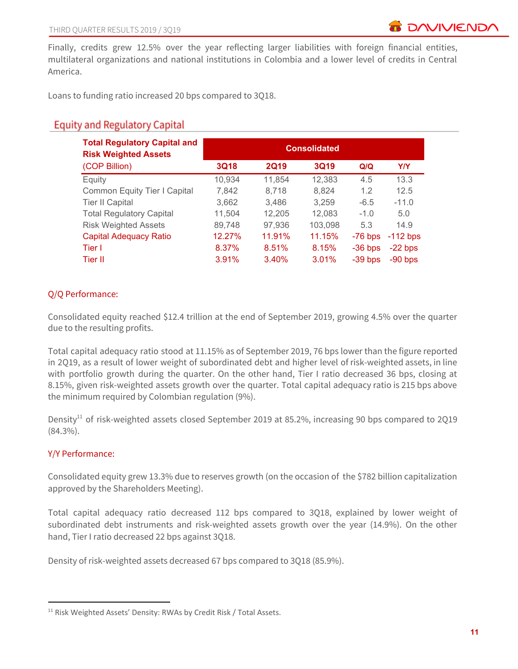Finally, credits grew 12.5% over the year reflecting larger liabilities with foreign financial entities, multilateral organizations and national institutions in Colombia and a lower level of credits in Central America.

Loans to funding ratio increased 20 bps compared to 3Q18.

# **Equity and Regulatory Capital**

| <b>Total Regulatory Capital and</b><br><b>Risk Weighted Assets</b> | <b>Consolidated</b> |             |             |           |            |  |  |  |  |
|--------------------------------------------------------------------|---------------------|-------------|-------------|-----------|------------|--|--|--|--|
| (COP Billion)                                                      | <b>3Q18</b>         | <b>2Q19</b> | <b>3Q19</b> | Q/Q       | <b>Y/Y</b> |  |  |  |  |
| Equity                                                             | 10,934              | 11,854      | 12,383      | 4.5       | 13.3       |  |  |  |  |
| <b>Common Equity Tier I Capital</b>                                | 7,842               | 8,718       | 8,824       | 1.2       | 12.5       |  |  |  |  |
| <b>Tier II Capital</b>                                             | 3,662               | 3,486       | 3,259       | $-6.5$    | $-11.0$    |  |  |  |  |
| <b>Total Regulatory Capital</b>                                    | 11,504              | 12,205      | 12,083      | $-1.0$    | 5.0        |  |  |  |  |
| <b>Risk Weighted Assets</b>                                        | 89,748              | 97,936      | 103,098     | 5.3       | 14.9       |  |  |  |  |
| <b>Capital Adequacy Ratio</b>                                      | 12.27%              | 11.91%      | 11.15%      | $-76$ bps | $-112$ bps |  |  |  |  |
| Tier I                                                             | 8.37%               | 8.51%       | 8.15%       | $-36$ bps | $-22$ bps  |  |  |  |  |
| Tier II                                                            | 3.91%               | 3.40%       | 3.01%       | $-39$ bps | $-90$ bps  |  |  |  |  |

# Q/Q Performance:

Consolidated equity reached \$12.4 trillion at the end of September 2019, growing 4.5% over the quarter due to the resulting profits.

Total capital adequacy ratio stood at 11.15% as of September 2019, 76 bps lower than the figure reported in 2Q19, as a result of lower weight of subordinated debt and higher level of risk-weighted assets, in line with portfolio growth during the quarter. On the other hand, Tier I ratio decreased 36 bps, closing at 8.15%, given risk-weighted assets growth over the quarter. Total capital adequacy ratio is 215 bps above the minimum required by Colombian regulation (9%).

Density<sup>11</sup> of risk-weighted assets closed September 2019 at 85.2%, increasing 90 bps compared to 2Q19 (84.3%).

# Y/Y Performance:

Consolidated equity grew 13.3% due to reserves growth (on the occasion of the \$782 billion capitalization approved by the Shareholders Meeting).

Total capital adequacy ratio decreased 112 bps compared to 3Q18, explained by lower weight of subordinated debt instruments and risk-weighted assets growth over the year (14.9%). On the other hand, Tier I ratio decreased 22 bps against 3Q18.

Density of risk-weighted assets decreased 67 bps compared to 3Q18 (85.9%).

<sup>&</sup>lt;sup>11</sup> Risk Weighted Assets' Density: RWAs by Credit Risk / Total Assets.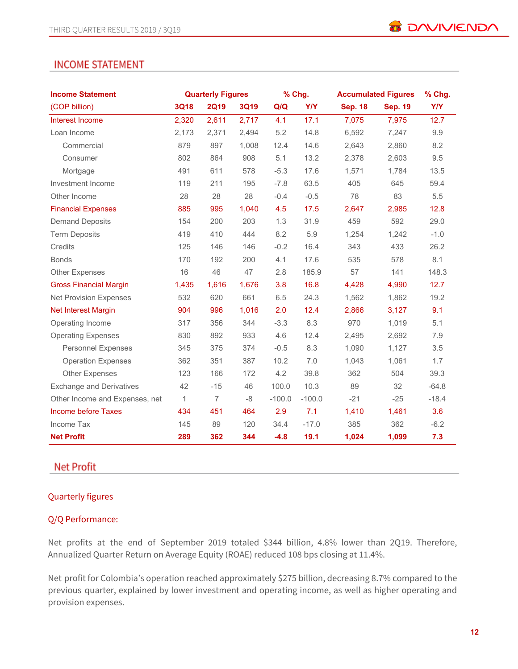# **INCOME STATEMENT**

| <b>Income Statement</b>         |              | <b>Quarterly Figures</b> |             |          | % Chg.     |                | <b>Accumulated Figures</b> |            |  |
|---------------------------------|--------------|--------------------------|-------------|----------|------------|----------------|----------------------------|------------|--|
| (COP billion)                   | <b>3Q18</b>  | <b>2Q19</b>              | <b>3Q19</b> | Q/Q      | <b>Y/Y</b> | <b>Sep. 18</b> | <b>Sep. 19</b>             | <b>Y/Y</b> |  |
| Interest Income                 | 2,320        | 2,611                    | 2,717       | 4.1      | 17.1       | 7,075          | 7,975                      | 12.7       |  |
| Loan Income                     | 2,173        | 2,371                    | 2,494       | 5.2      | 14.8       | 6,592          | 7,247                      | 9.9        |  |
| Commercial                      | 879          | 897                      | 1,008       | 12.4     | 14.6       | 2,643          | 2,860                      | 8.2        |  |
| Consumer                        | 802          | 864                      | 908         | 5.1      | 13.2       | 2,378          | 2,603                      | 9.5        |  |
| Mortgage                        | 491          | 611                      | 578         | $-5.3$   | 17.6       | 1,571          | 1,784                      | 13.5       |  |
| Investment Income               | 119          | 211                      | 195         | $-7.8$   | 63.5       | 405            | 645                        | 59.4       |  |
| Other Income                    | 28           | 28                       | 28          | $-0.4$   | $-0.5$     | 78             | 83                         | 5.5        |  |
| <b>Financial Expenses</b>       | 885          | 995                      | 1,040       | 4.5      | 17.5       | 2,647          | 2,985                      | 12.8       |  |
| <b>Demand Deposits</b>          | 154          | 200                      | 203         | 1.3      | 31.9       | 459            | 592                        | 29.0       |  |
| <b>Term Deposits</b>            | 419          | 410                      | 444         | 8.2      | 5.9        | 1,254          | 1,242                      | $-1.0$     |  |
| Credits                         | 125          | 146                      | 146         | $-0.2$   | 16.4       | 343            | 433                        | 26.2       |  |
| <b>Bonds</b>                    | 170          | 192                      | 200         | 4.1      | 17.6       | 535            | 578                        | 8.1        |  |
| <b>Other Expenses</b>           | 16           | 46                       | 47          | 2.8      | 185.9      | 57             | 141                        | 148.3      |  |
| <b>Gross Financial Margin</b>   | 1,435        | 1,616                    | 1,676       | 3.8      | 16.8       | 4,428          | 4,990                      | 12.7       |  |
| <b>Net Provision Expenses</b>   | 532          | 620                      | 661         | 6.5      | 24.3       | 1,562          | 1,862                      | 19.2       |  |
| Net Interest Margin             | 904          | 996                      | 1,016       | 2.0      | 12.4       | 2,866          | 3,127                      | 9.1        |  |
| Operating Income                | 317          | 356                      | 344         | $-3.3$   | 8.3        | 970            | 1,019                      | 5.1        |  |
| <b>Operating Expenses</b>       | 830          | 892                      | 933         | 4.6      | 12.4       | 2,495          | 2,692                      | 7.9        |  |
| <b>Personnel Expenses</b>       | 345          | 375                      | 374         | $-0.5$   | 8.3        | 1,090          | 1,127                      | 3.5        |  |
| <b>Operation Expenses</b>       | 362          | 351                      | 387         | 10.2     | 7.0        | 1,043          | 1,061                      | 1.7        |  |
| <b>Other Expenses</b>           | 123          | 166                      | 172         | 4.2      | 39.8       | 362            | 504                        | 39.3       |  |
| <b>Exchange and Derivatives</b> | 42           | $-15$                    | 46          | 100.0    | 10.3       | 89             | 32                         | $-64.8$    |  |
| Other Income and Expenses, net  | $\mathbf{1}$ | $\overline{7}$           | $-8$        | $-100.0$ | $-100.0$   | $-21$          | $-25$                      | $-18.4$    |  |
| Income before Taxes             | 434          | 451                      | 464         | 2.9      | 7.1        | 1,410          | 1,461                      | 3.6        |  |
| Income Tax                      | 145          | 89                       | 120         | 34.4     | $-17.0$    | 385            | 362                        | $-6.2$     |  |
| <b>Net Profit</b>               | 289          | 362                      | 344         | $-4.8$   | 19.1       | 1,024          | 1,099                      | 7.3        |  |

# **Net Profit**

# Quarterly figures

# Q/Q Performance:

Net profits at the end of September 2019 totaled \$344 billion, 4.8% lower than 2Q19. Therefore, Annualized Quarter Return on Average Equity (ROAE) reduced 108 bps closing at 11.4%.

Net profit for Colombia's operation reached approximately \$275 billion, decreasing 8.7% compared to the previous quarter, explained by lower investment and operating income, as well as higher operating and provision expenses.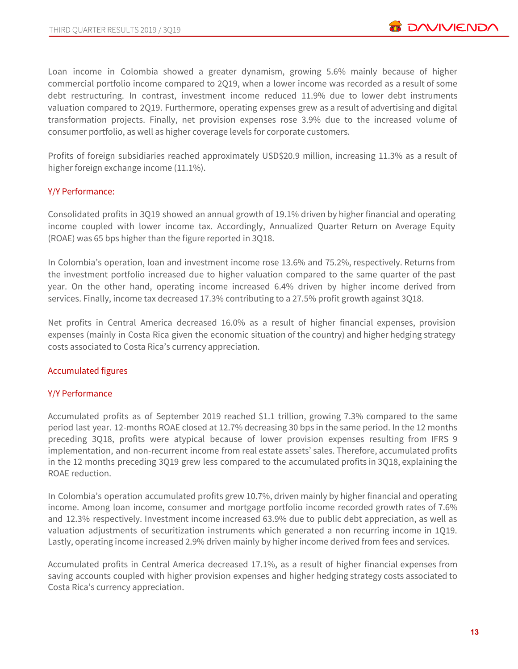Loan income in Colombia showed a greater dynamism, growing 5.6% mainly because of higher commercial portfolio income compared to 2Q19, when a lower income was recorded as a result of some debt restructuring. In contrast, investment income reduced 11.9% due to lower debt instruments valuation compared to 2Q19. Furthermore, operating expenses grew as a result of advertising and digital transformation projects. Finally, net provision expenses rose 3.9% due to the increased volume of consumer portfolio, as well as higher coverage levels for corporate customers.

Profits of foreign subsidiaries reached approximately USD\$20.9 million, increasing 11.3% as a result of higher foreign exchange income (11.1%).

### Y/Y Performance:

Consolidated profits in 3Q19 showed an annual growth of 19.1% driven by higher financial and operating income coupled with lower income tax. Accordingly, Annualized Quarter Return on Average Equity (ROAE) was 65 bps higher than the figure reported in 3Q18.

In Colombia's operation, loan and investment income rose 13.6% and 75.2%, respectively. Returns from the investment portfolio increased due to higher valuation compared to the same quarter of the past year. On the other hand, operating income increased 6.4% driven by higher income derived from services. Finally, income tax decreased 17.3% contributing to a 27.5% profit growth against 3Q18.

Net profits in Central America decreased 16.0% as a result of higher financial expenses, provision expenses (mainly in Costa Rica given the economic situation of the country) and higher hedging strategy costs associated to Costa Rica's currency appreciation.

### Accumulated figures

### Y/Y Performance

Accumulated profits as of September 2019 reached \$1.1 trillion, growing 7.3% compared to the same period last year. 12-months ROAE closed at 12.7% decreasing 30 bps in the same period. In the 12 months preceding 3Q18, profits were atypical because of lower provision expenses resulting from IFRS 9 implementation, and non-recurrent income from real estate assets' sales. Therefore, accumulated profits in the 12 months preceding 3Q19 grew less compared to the accumulated profits in 3Q18, explaining the ROAE reduction.

In Colombia's operation accumulated profits grew 10.7%, driven mainly by higher financial and operating income. Among loan income, consumer and mortgage portfolio income recorded growth rates of 7.6% and 12.3% respectively. Investment income increased 63.9% due to public debt appreciation, as well as valuation adjustments of securitization instruments which generated a non recurring income in 1Q19. Lastly, operating income increased 2.9% driven mainly by higher income derived from fees and services.

Accumulated profits in Central America decreased 17.1%, as a result of higher financial expenses from saving accounts coupled with higher provision expenses and higher hedging strategy costs associated to Costa Rica's currency appreciation.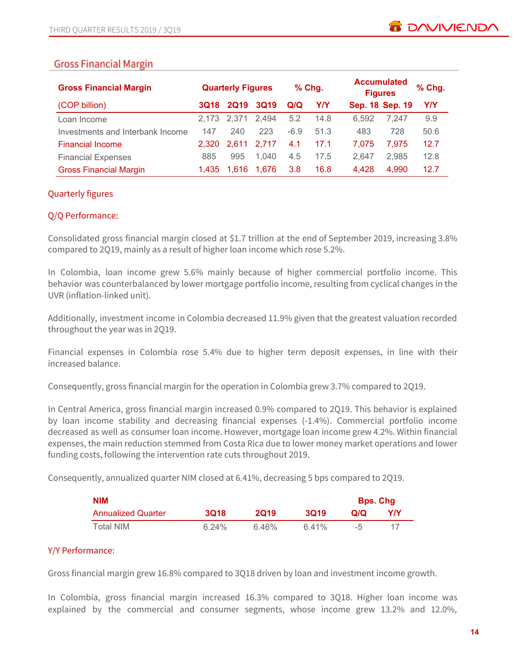# **Gross Financial Margin**

| <b>Gross Financial Margin</b>    | <b>Quarterly Figures</b> |             | $%$ Chg.    |        | <b>Accumulated</b><br><b>Figures</b> |                 | % Chg. |            |
|----------------------------------|--------------------------|-------------|-------------|--------|--------------------------------------|-----------------|--------|------------|
| (COP billion)                    | <b>3Q18</b>              | <b>2Q19</b> | <b>3Q19</b> | Q/Q    | Y/Y                                  | Sep. 18 Sep. 19 |        | <b>Y/Y</b> |
| Loan Income                      |                          | 2.173 2.371 | 2,494       | 5.2    | 14.8                                 | 6.592           | 7.247  | 9.9        |
| Investments and Interbank Income | 147                      | 240         | 223         | $-6.9$ | 51.3                                 | 483             | 728    | 50.6       |
| <b>Financial Income</b>          | 2.320                    | 2.611       | 2.717       | 4.1    | 17.1                                 | 7.075           | 7.975  | 12.7       |
| <b>Financial Expenses</b>        | 885                      | 995         | 1.040       | 4.5    | 17.5                                 | 2.647           | 2,985  | 12.8       |
| <b>Gross Financial Margin</b>    | 1.435                    | 1.616       | 1.676       | 3.8    | 16.8                                 | 4,428           | 4,990  | 12.7       |

# Quarterly figures

### Q/Q Performance:

Consolidated gross financial margin closed at \$1.7 trillion at the end of September 2019, increasing 3.8% compared to 2Q19, mainly as a result of higher loan income which rose 5.2%.

In Colombia, loan income grew 5.6% mainly because of higher commercial portfolio income. This behavior was counterbalanced by lower mortgage portfolio income, resulting from cyclical changes in the UVR (inflation-linked unit).

Additionally, investment income in Colombia decreased 11.9% given that the greatest valuation recorded throughout the year was in 2Q19.

Financial expenses in Colombia rose 5.4% due to higher term deposit expenses, in line with their increased balance.

Consequently, gross financial margin for the operation in Colombia grew 3.7% compared to 2Q19.

In Central America, gross financial margin increased 0.9% compared to 2Q19. This behavior is explained by loan income stability and decreasing financial expenses (-1.4%). Commercial portfolio income decreased as well as consumer loan income. However, mortgage loan income grew 4.2%. Within financial expenses, the main reduction stemmed from Costa Rica due to lower money market operations and lower funding costs, following the intervention rate cuts throughout 2019.

Consequently, annualized quarter NIM closed at 6.41%, decreasing 5 bps compared to 2Q19.

| <b>NIM</b>                |       |             |             |      | <b>Bps. Chg</b> |  |
|---------------------------|-------|-------------|-------------|------|-----------------|--|
| <b>Annualized Quarter</b> | 3018  | <b>2019</b> | <b>3019</b> | വറ   | Y/Y             |  |
| Total NIM                 | 6.24% | 6.46%       | $6.41\%$    | $-5$ |                 |  |

# Y/Y Performance:

Gross financial margin grew 16.8% compared to 3Q18 driven by loan and investment income growth.

In Colombia, gross financial margin increased 16.3% compared to 3Q18. Higher loan income was explained by the commercial and consumer segments, whose income grew 13.2% and 12.0%,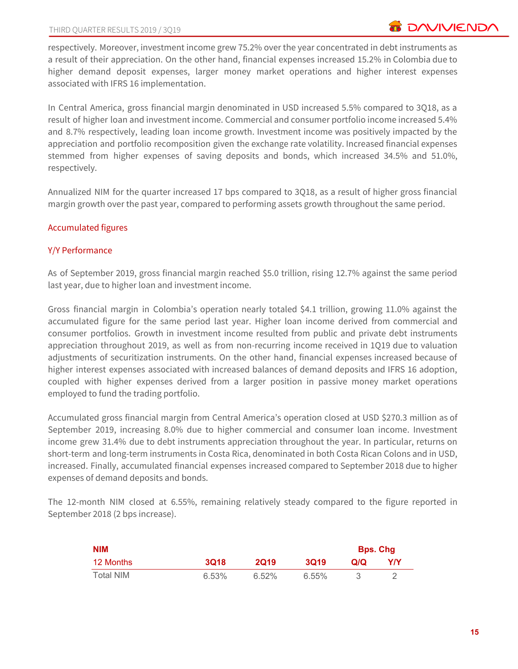respectively. Moreover, investment income grew 75.2% over the year concentrated in debt instruments as a result of their appreciation. On the other hand, financial expenses increased 15.2% in Colombia due to higher demand deposit expenses, larger money market operations and higher interest expenses associated with IFRS 16 implementation.

In Central America, gross financial margin denominated in USD increased 5.5% compared to 3Q18, as a result of higher loan and investment income. Commercial and consumer portfolio income increased 5.4% and 8.7% respectively, leading loan income growth. Investment income was positively impacted by the appreciation and portfolio recomposition given the exchange rate volatility. Increased financial expenses stemmed from higher expenses of saving deposits and bonds, which increased 34.5% and 51.0%, respectively.

Annualized NIM for the quarter increased 17 bps compared to 3Q18, as a result of higher gross financial margin growth over the past year, compared to performing assets growth throughout the same period.

# Accumulated figures

# Y/Y Performance

As of September 2019, gross financial margin reached \$5.0 trillion, rising 12.7% against the same period last year, due to higher loan and investment income.

Gross financial margin in Colombia's operation nearly totaled \$4.1 trillion, growing 11.0% against the accumulated figure for the same period last year. Higher loan income derived from commercial and consumer portfolios. Growth in investment income resulted from public and private debt instruments appreciation throughout 2019, as well as from non-recurring income received in 1Q19 due to valuation adjustments of securitization instruments. On the other hand, financial expenses increased because of higher interest expenses associated with increased balances of demand deposits and IFRS 16 adoption, coupled with higher expenses derived from a larger position in passive money market operations employed to fund the trading portfolio.

Accumulated gross financial margin from Central America's operation closed at USD \$270.3 million as of September 2019, increasing 8.0% due to higher commercial and consumer loan income. Investment income grew 31.4% due to debt instruments appreciation throughout the year. In particular, returns on short-term and long-term instruments in Costa Rica, denominated in both Costa Rican Colons and in USD, increased. Finally, accumulated financial expenses increased compared to September 2018 due to higher expenses of demand deposits and bonds.

The 12-month NIM closed at 6.55%, remaining relatively steady compared to the figure reported in September 2018 (2 bps increase).

| <b>NIM</b> |             |             |             |    | <b>Bps. Chg</b> |
|------------|-------------|-------------|-------------|----|-----------------|
| 12 Months  | <b>3Q18</b> | <b>2019</b> | <b>3019</b> | വറ | Y/Y             |
| Total NIM  | 6.53%       | $6.52\%$    | 6.55%       |    |                 |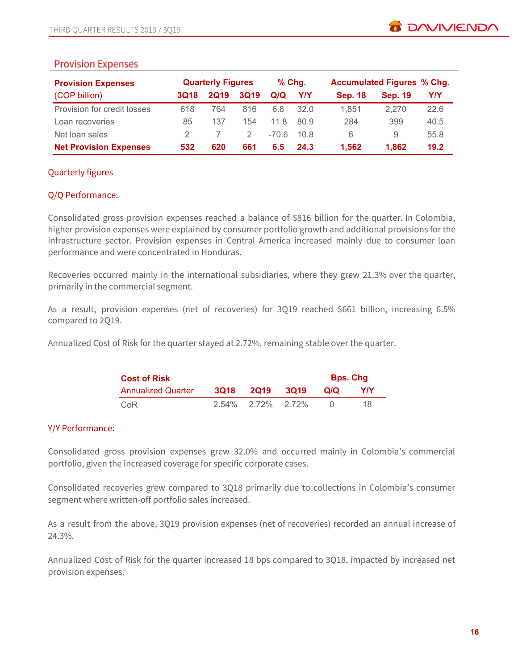# **Provision Expenses**

| <b>Provision Expenses</b>     |             | <b>Quarterly Figures</b> |             | $%$ Chg. |      | <b>Accumulated Figures % Chg.</b> |                |      |
|-------------------------------|-------------|--------------------------|-------------|----------|------|-----------------------------------|----------------|------|
| (COP billion)                 | <b>3Q18</b> | <b>2Q19</b>              | <b>3Q19</b> | Q/Q      | Y/Y  | <b>Sep. 18</b>                    | <b>Sep. 19</b> | Y/Y  |
| Provision for credit losses   | 618         | 764                      | 816         | 6.8      | 32.0 | 1.851                             | 2.270          | 22.6 |
| Loan recoveries               | 85          | 137                      | 154         | 11.8     | 80.9 | 284                               | 399            | 40.5 |
| Net loan sales                |             |                          | 2.          | -70.6    | 10.8 | 6                                 | 9              | 55.8 |
| <b>Net Provision Expenses</b> | 532         | 620                      | 661         | 6.5      | 24.3 | 1.562                             | 1.862          | 19.2 |

# Quarterly figures

# Q/Q Performance:

Consolidated gross provision expenses reached a balance of \$816 billion for the quarter. In Colombia, higher provision expenses were explained by consumer portfolio growth and additional provisions for the infrastructure sector. Provision expenses in Central America increased mainly due to consumer loan performance and were concentrated in Honduras.

Recoveries occurred mainly in the international subsidiaries, where they grew 21.3% over the quarter, primarily in the commercial segment.

As a result, provision expenses (net of recoveries) for 3Q19 reached \$661 billion, increasing 6.5% compared to 2Q19.

Annualized Cost of Risk for the quarter stayed at 2.72%, remaining stable over the quarter.

| <b>Cost of Risk</b>       |      |                   |        |     | <b>Bps. Chg</b> |
|---------------------------|------|-------------------|--------|-----|-----------------|
| <b>Annualized Quarter</b> | 3018 | <b>2019</b>       | - 3019 | Q/Q | YIY             |
| CoR                       |      | 2.54% 2.72% 2.72% |        |     | 18              |

# Y/Y Performance:

Consolidated gross provision expenses grew 32.0% and occurred mainly in Colombia's commercial portfolio, given the increased coverage for specific corporate cases.

Consolidated recoveries grew compared to 3Q18 primarily due to collections in Colombia's consumer segment where written-off portfolio sales increased.

As a result from the above, 3Q19 provision expenses (net of recoveries) recorded an annual increase of 24.3%.

Annualized Cost of Risk for the quarter increased 18 bps compared to 3Q18, impacted by increased net provision expenses.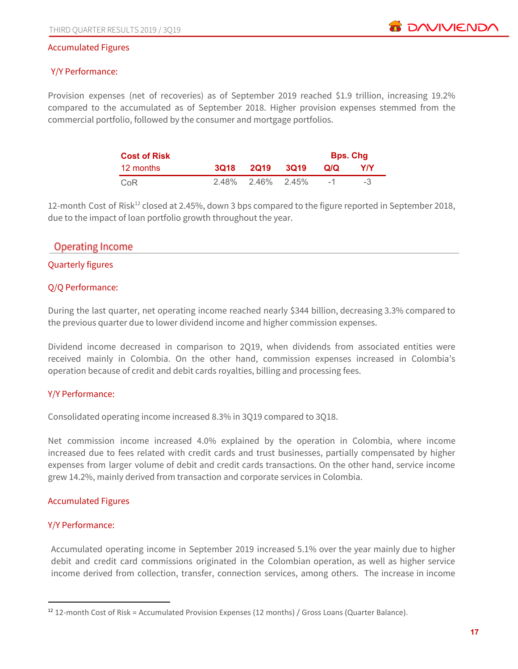### Accumulated Figures

### Y/Y Performance:

Provision expenses (net of recoveries) as of September 2019 reached \$1.9 trillion, increasing 19.2% compared to the accumulated as of September 2018. Higher provision expenses stemmed from the commercial portfolio, followed by the consumer and mortgage portfolios.

| <b>Cost of Risk</b> |                      | <b>Bps. Chg</b> |            |
|---------------------|----------------------|-----------------|------------|
| 12 months           | 3Q18 2Q19 3Q19       | Q/Q             | <b>Y/Y</b> |
| CoR                 | $2.48\%$ 2.46% 2.45% | $-1$            | -3         |

12-month Cost of Risk<sup>12</sup> closed at 2.45%, down 3 bps compared to the figure reported in September 2018, due to the impact of loan portfolio growth throughout the year.

# **Operating Income**

### Quarterly figures

### Q/Q Performance:

During the last quarter, net operating income reached nearly \$344 billion, decreasing 3.3% compared to the previous quarter due to lower dividend income and higher commission expenses.

Dividend income decreased in comparison to 2Q19, when dividends from associated entities were received mainly in Colombia. On the other hand, commission expenses increased in Colombia's operation because of credit and debit cards royalties, billing and processing fees.

### Y/Y Performance:

Consolidated operating income increased 8.3% in 3Q19 compared to 3Q18.

Net commission income increased 4.0% explained by the operation in Colombia, where income increased due to fees related with credit cards and trust businesses, partially compensated by higher expenses from larger volume of debit and credit cards transactions. On the other hand, service income grew 14.2%, mainly derived from transaction and corporate services in Colombia.

### Accumulated Figures

### Y/Y Performance:

Accumulated operating income in September 2019 increased 5.1% over the year mainly due to higher debit and credit card commissions originated in the Colombian operation, as well as higher service income derived from collection, transfer, connection services, among others. The increase in income

<sup>&</sup>lt;sup>12</sup> 12-month Cost of Risk = Accumulated Provision Expenses (12 months) / Gross Loans (Quarter Balance).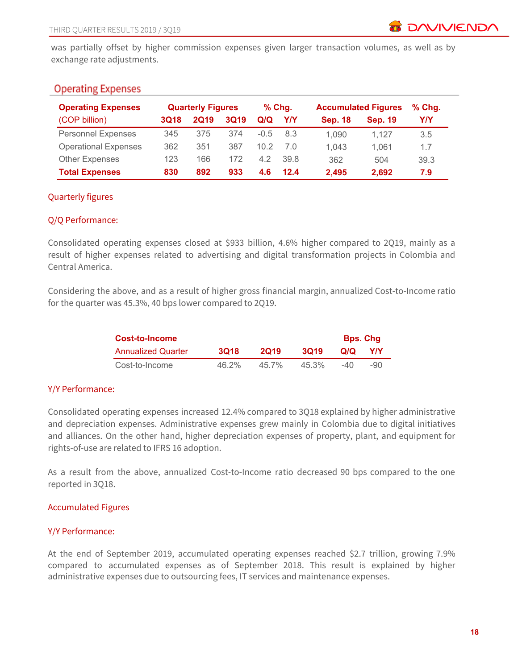was partially offset by higher commission expenses given larger transaction volumes, as well as by exchange rate adjustments.

# **Operating Expenses**

| <b>Operating Expenses</b>   |             | <b>Quarterly Figures</b> |             | $%$ Chg. |      |                |                | <b>Accumulated Figures</b> |  | $%$ Chg. |
|-----------------------------|-------------|--------------------------|-------------|----------|------|----------------|----------------|----------------------------|--|----------|
| (COP billion)               | <b>3Q18</b> | <b>2Q19</b>              | <b>3Q19</b> | Q/Q      | Y/Y  | <b>Sep. 18</b> | <b>Sep. 19</b> | Y/Y                        |  |          |
| <b>Personnel Expenses</b>   | 345         | 375                      | 374         | $-0.5$   | 8.3  | 1.090          | 1.127          | 3.5                        |  |          |
| <b>Operational Expenses</b> | 362         | 351                      | 387         | 10.2     | 7 Q  | 1.043          | 1.061          | 1.7                        |  |          |
| <b>Other Expenses</b>       | 123         | 166                      | 172         | 4.2      | 39 R | 362            | 504            | 39.3                       |  |          |
| <b>Total Expenses</b>       | 830         | 892                      | 933         | 4.6      | 12.4 | 2,495          | 2,692          | 7.9                        |  |          |

# Quarterly figures

### Q/Q Performance:

Consolidated operating expenses closed at \$933 billion, 4.6% higher compared to 2Q19, mainly as a result of higher expenses related to advertising and digital transformation projects in Colombia and Central America.

Considering the above, and as a result of higher gross financial margin, annualized Cost-to-Income ratio for the quarter was 45.3%, 40 bps lower compared to 2Q19.

| <b>Cost-to-Income</b>     | <b>Bps. Chg</b> |             |             |        |        |
|---------------------------|-----------------|-------------|-------------|--------|--------|
| <b>Annualized Quarter</b> | <b>3Q18</b>     | <b>2019</b> | <b>3019</b> | Q/Q    | YIY    |
| Cost-to-Income            | $46.2\%$        | 457%        | 45.3%       | $-4()$ | $-9()$ |

### Y/Y Performance:

Consolidated operating expenses increased 12.4% compared to 3Q18 explained by higher administrative and depreciation expenses. Administrative expenses grew mainly in Colombia due to digital initiatives and alliances. On the other hand, higher depreciation expenses of property, plant, and equipment for rights-of-use are related to IFRS 16 adoption.

As a result from the above, annualized Cost-to-Income ratio decreased 90 bps compared to the one reported in 3Q18.

### Accumulated Figures

### Y/Y Performance:

At the end of September 2019, accumulated operating expenses reached \$2.7 trillion, growing 7.9% compared to accumulated expenses as of September 2018. This result is explained by higher administrative expenses due to outsourcing fees, IT services and maintenance expenses.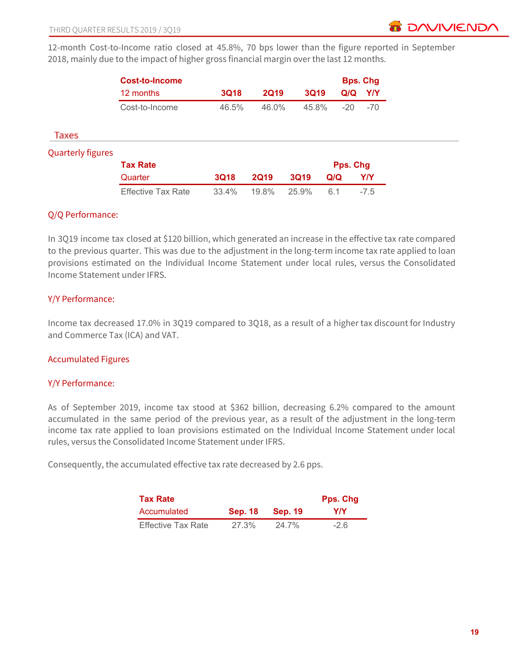

12-month Cost-to-Income ratio closed at 45.8%, 70 bps lower than the figure reported in September 2018, mainly due to the impact of higher gross financial margin over the last 12 months.

|                          | <b>Cost-to-Income</b>     |             |             |             |     | <b>Bps. Chg</b> |            |
|--------------------------|---------------------------|-------------|-------------|-------------|-----|-----------------|------------|
|                          | 12 months                 | <b>3Q18</b> | <b>2Q19</b> | <b>3Q19</b> |     | Q/Q             | Y/Y        |
|                          | Cost-to-Income            | 46.5%       | 46.0%       | 45.8%       |     | $-20$           | $-70$      |
| Taxes                    |                           |             |             |             |     |                 |            |
| <b>Quarterly figures</b> |                           |             |             |             |     |                 |            |
|                          | <b>Tax Rate</b>           |             |             |             |     | Pps. Chg        |            |
|                          | Quarter                   | <b>3Q18</b> | <b>2Q19</b> | <b>3Q19</b> | Q/Q |                 | <b>Y/Y</b> |
|                          | <b>Effective Tax Rate</b> | 33.4%       | 19.8%       | 25.9%       | 6.1 |                 | $-7.5$     |

### Q/Q Performance:

In 3Q19 income tax closed at \$120 billion, which generated an increase in the effective tax rate compared to the previous quarter. This was due to the adjustment in the long-term income tax rate applied to loan provisions estimated on the Individual Income Statement under local rules, versus the Consolidated Income Statement under IFRS.

# Y/Y Performance:

Income tax decreased 17.0% in 3Q19 compared to 3Q18, as a result of a higher tax discount for Industry and Commerce Tax (ICA) and VAT.

### Accumulated Figures

### Y/Y Performance:

As of September 2019, income tax stood at \$362 billion, decreasing 6.2% compared to the amount accumulated in the same period of the previous year, as a result of the adjustment in the long-term income tax rate applied to loan provisions estimated on the Individual Income Statement under local rules, versus the Consolidated Income Statement under IFRS.

Consequently, the accumulated effective tax rate decreased by 2.6 pps.

| <b>Tax Rate</b>           | <b>Pps. Chg</b> |           |            |
|---------------------------|-----------------|-----------|------------|
| Accumulated               | <b>Sep. 18</b>  | – Sep. 19 | <b>Y/Y</b> |
| <b>Effective Tax Rate</b> | 27.3%           | 24.7%     | $-2.6$     |